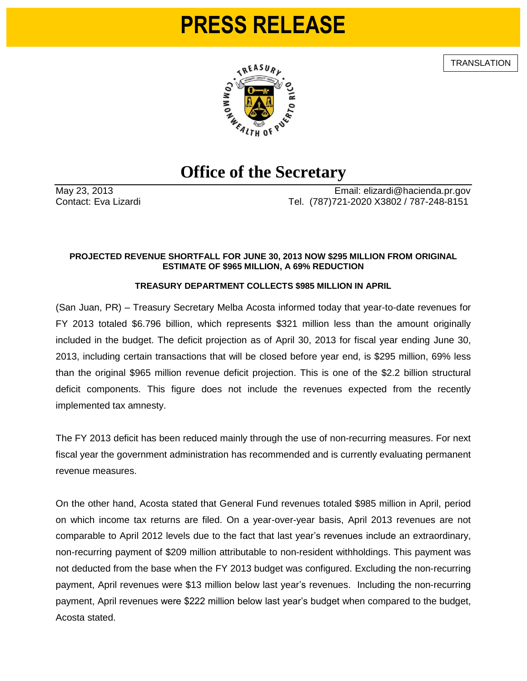## **PRESS RELEASE**

**TRANSLATION** 



## **Office of the Secretary**

May 23, 2013 Email: elizardi@hacienda.pr.gov Contact: Eva Lizardi Tel. (787)721-2020 X3802 / 787-248-8151

## **PROJECTED REVENUE SHORTFALL FOR JUNE 30, 2013 NOW \$295 MILLION FROM ORIGINAL ESTIMATE OF \$965 MILLION, A 69% REDUCTION**

## **TREASURY DEPARTMENT COLLECTS \$985 MILLION IN APRIL**

(San Juan, PR) – Treasury Secretary Melba Acosta informed today that year-to-date revenues for FY 2013 totaled \$6.796 billion, which represents \$321 million less than the amount originally included in the budget. The deficit projection as of April 30, 2013 for fiscal year ending June 30, 2013, including certain transactions that will be closed before year end, is \$295 million, 69% less than the original \$965 million revenue deficit projection. This is one of the \$2.2 billion structural deficit components. This figure does not include the revenues expected from the recently implemented tax amnesty.

The FY 2013 deficit has been reduced mainly through the use of non-recurring measures. For next fiscal year the government administration has recommended and is currently evaluating permanent revenue measures.

On the other hand, Acosta stated that General Fund revenues totaled \$985 million in April, period on which income tax returns are filed. On a year-over-year basis, April 2013 revenues are not comparable to April 2012 levels due to the fact that last year's revenues include an extraordinary, non-recurring payment of \$209 million attributable to non-resident withholdings. This payment was not deducted from the base when the FY 2013 budget was configured. Excluding the non-recurring payment, April revenues were \$13 million below last year's revenues. Including the non-recurring payment, April revenues were \$222 million below last year's budget when compared to the budget, Acosta stated.